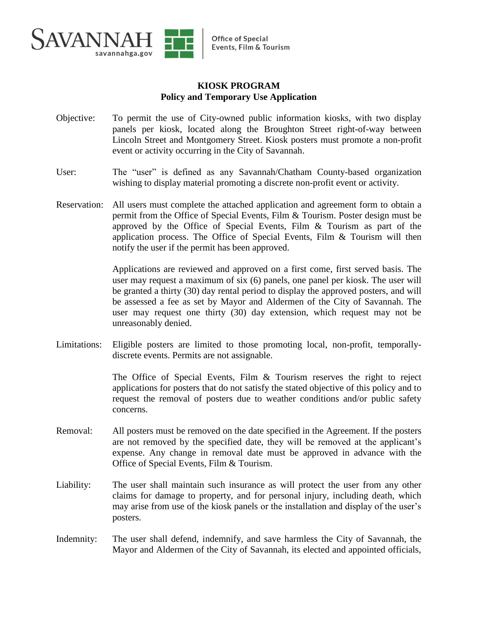

## **KIOSK PROGRAM Policy and Temporary Use Application**

- Objective: To permit the use of City-owned public information kiosks, with two display panels per kiosk, located along the Broughton Street right-of-way between Lincoln Street and Montgomery Street. Kiosk posters must promote a non-profit event or activity occurring in the City of Savannah.
- User: The "user" is defined as any Savannah/Chatham County-based organization wishing to display material promoting a discrete non-profit event or activity.
- Reservation: All users must complete the attached application and agreement form to obtain a permit from the Office of Special Events, Film & Tourism. Poster design must be approved by the Office of Special Events, Film & Tourism as part of the application process. The Office of Special Events, Film  $\&$  Tourism will then notify the user if the permit has been approved.

Applications are reviewed and approved on a first come, first served basis. The user may request a maximum of six (6) panels, one panel per kiosk. The user will be granted a thirty (30) day rental period to display the approved posters, and will be assessed a fee as set by Mayor and Aldermen of the City of Savannah. The user may request one thirty (30) day extension, which request may not be unreasonably denied.

Limitations: Eligible posters are limited to those promoting local, non-profit, temporallydiscrete events. Permits are not assignable.

> The Office of Special Events, Film & Tourism reserves the right to reject applications for posters that do not satisfy the stated objective of this policy and to request the removal of posters due to weather conditions and/or public safety concerns.

- Removal: All posters must be removed on the date specified in the Agreement. If the posters are not removed by the specified date, they will be removed at the applicant's expense. Any change in removal date must be approved in advance with the Office of Special Events, Film & Tourism.
- Liability: The user shall maintain such insurance as will protect the user from any other claims for damage to property, and for personal injury, including death, which may arise from use of the kiosk panels or the installation and display of the user's posters.
- Indemnity: The user shall defend, indemnify, and save harmless the City of Savannah, the Mayor and Aldermen of the City of Savannah, its elected and appointed officials,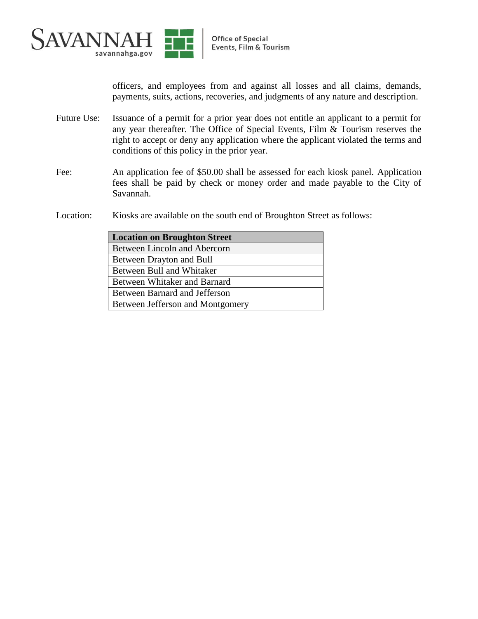

officers, and employees from and against all losses and all claims, demands, payments, suits, actions, recoveries, and judgments of any nature and description.

- Future Use: Issuance of a permit for a prior year does not entitle an applicant to a permit for any year thereafter. The Office of Special Events, Film & Tourism reserves the right to accept or deny any application where the applicant violated the terms and conditions of this policy in the prior year.
- Fee: An application fee of \$50.00 shall be assessed for each kiosk panel. Application fees shall be paid by check or money order and made payable to the City of Savannah.
- Location: Kiosks are available on the south end of Broughton Street as follows:

| <b>Location on Broughton Street</b> |  |
|-------------------------------------|--|
| Between Lincoln and Abercorn        |  |
| Between Drayton and Bull            |  |
| Between Bull and Whitaker           |  |
| Between Whitaker and Barnard        |  |
| Between Barnard and Jefferson       |  |
| Between Jefferson and Montgomery    |  |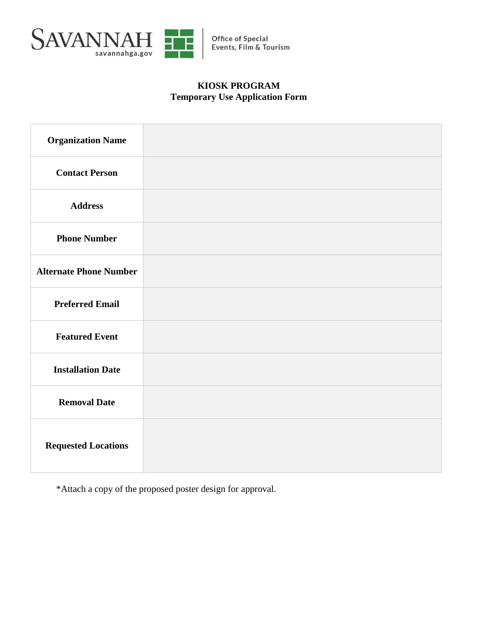

## **KIOSK PROGRAM Temporary Use Application Form**

| <b>Organization Name</b>      |  |
|-------------------------------|--|
| <b>Contact Person</b>         |  |
| <b>Address</b>                |  |
| <b>Phone Number</b>           |  |
| <b>Alternate Phone Number</b> |  |
| <b>Preferred Email</b>        |  |
| <b>Featured Event</b>         |  |
| <b>Installation Date</b>      |  |
| <b>Removal Date</b>           |  |
| <b>Requested Locations</b>    |  |

\*Attach a copy of the proposed poster design for approval.